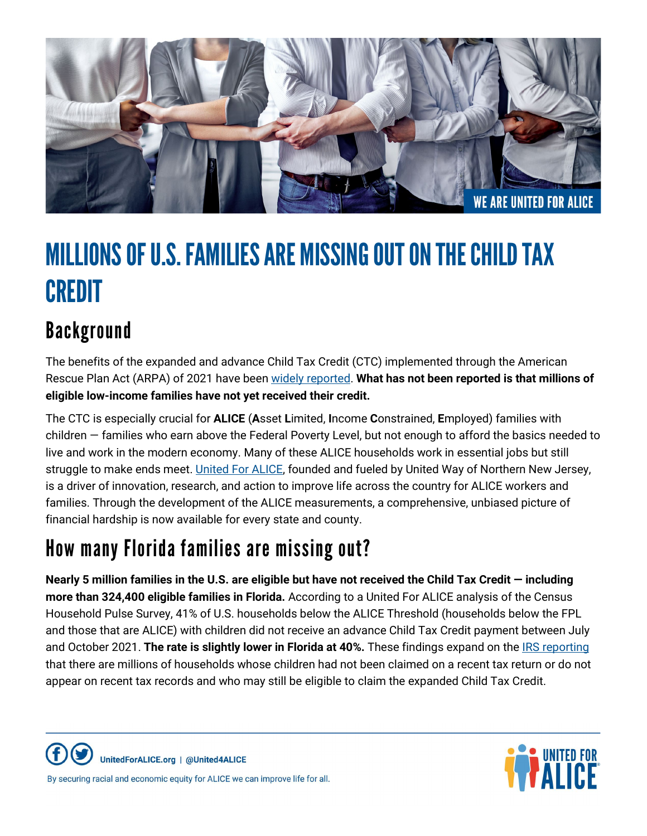

# MILLIONS OF U.S. FAMILIES ARE MISSING OUT ON THE CHILD TAX CREDIT

## Background

The benefits of the expanded and advance Child Tax Credit (CTC) implemented through the American Rescue Plan Act (ARPA) of 2021 have bee[n widely reported.](https://www.npr.org/2022/01/27/1075299510/the-expanded-child-tax-credit-briefly-slashed-child-poverty-heres-what-else-it-d) **What has not been reported is that millions of eligible low-income families have not yet received their credit.**

The CTC is especially crucial for **ALICE** (**A**sset **L**imited, **I**ncome **C**onstrained, **E**mployed) families with children — families who earn above the Federal Poverty Level, but not enough to afford the basics needed to live and work in the modern economy. Many of these ALICE households work in essential jobs but still struggle to make ends meet. *United For ALICE*, founded and fueled by United Way of Northern New Jersey, is a driver of innovation, research, and action to improve life across the country for ALICE workers and families. Through the development of the ALICE measurements, a comprehensive, unbiased picture of financial hardship is now available for every state and county.

## How many Florida families are missing out?

**Nearly 5 million families in the U.S. are eligible but have not received the Child Tax Credit — including more than 324,400 eligible families in Florida.** According to a United For ALICE analysis of the Census Household Pulse Survey, 41% of U.S. households below the ALICE Threshold (households below the FPL and those that are ALICE) with children did not receive an advance Child Tax Credit payment between July and October 2021. **The rate is slightly lower in Florida at 40%.** These findings expand on the [IRS reporting](https://home.treasury.gov/policy-issues/tax-policy/office-of-tax-analysis) that there are millions of households whose children had not been claimed on a recent tax return or do not appear on recent tax records and who may still be eligible to claim the expanded Child Tax Credit.

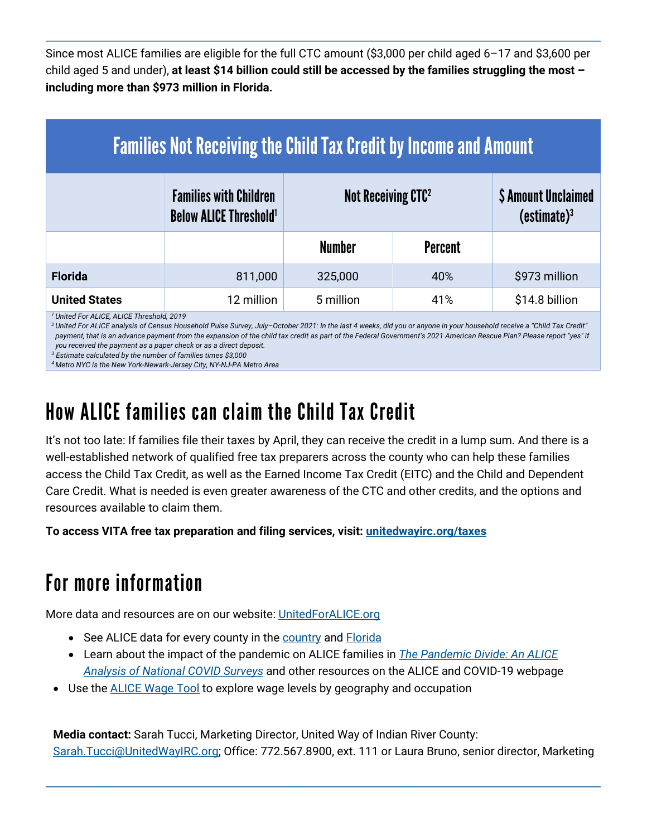Since most ALICE families are eligible for the full CTC amount (\$3,000 per child aged 6–17 and \$3,600 per child aged 5 and under), **at least \$14 billion could still be accessed by the families struggling the most – including more than \$973 million in Florida.** 

| <b>Families Not Receiving the Child Tax Credit by Income and Amount</b> |                                                                           |                                |                |                                                       |
|-------------------------------------------------------------------------|---------------------------------------------------------------------------|--------------------------------|----------------|-------------------------------------------------------|
|                                                                         | <b>Families with Children</b><br><b>Below ALICE Threshold<sup>1</sup></b> | Not Receiving CTC <sup>2</sup> |                | <b>\$ Amount Unclaimed</b><br>(estimate) <sup>3</sup> |
|                                                                         |                                                                           | <b>Number</b>                  | <b>Percent</b> |                                                       |
| <b>Florida</b>                                                          | 811,000                                                                   | 325,000                        | 40%            | \$973 million                                         |
| <b>United States</b>                                                    | 12 million                                                                | 5 million                      | 41%            | \$14.8 billion                                        |

*<sup>1</sup>United For ALICE, ALICE Threshold, 2019*

<sup>2</sup> United For ALICE analysis of Census Household Pulse Survey, July-October 2021: In the last 4 weeks, did you or anyone in your household receive a "Child Tax Credit" *payment, that is an advance payment from the expansion of the child tax credit as part of the Federal Government's 2021 American Rescue Plan? Please report "yes" if you received the payment as a paper check or as a direct deposit.*

*<sup>3</sup> Estimate calculated by the number of families times \$3,000*

*<sup>4</sup>Metro NYC is the New York-Newark-Jersey City, NY-NJ-PA Metro Area* 

### How ALICE families can claim the Child Tax Credit

It's not too late: If families file their taxes by April, they can receive the credit in a lump sum. And there is a well-established network of qualified free tax preparers across the county who can help these families access the Child Tax Credit, as well as the Earned Income Tax Credit (EITC) and the Child and Dependent Care Credit. What is needed is even greater awareness of the CTC and other credits, and the options and resources available to claim them.

**To access VITA free tax preparation and filing services, visit: [unitedwayirc.org/taxes](https://unitedwayirc.org/taxes)** 

### For more information

More data and resources are on our website[: UnitedForALICE.org](http://www.unitedforalice.org/) 

- See ALICE data for every county in the [country](https://www.unitedforalice.org/national-overview) and **Florida**
- Learn about the impact of the pandemic on ALICE families in *[The Pandemic Divide: An ALICE](https://www.unitedforalice.org/covid2019)  [Analysis of National COVID Surveys](https://www.unitedforalice.org/covid2019)* and other resources on the ALICE and COVID-19 webpage
- Use the [ALICE Wage Tool](https://www.unitedforalice.org/wage-tool) to explore wage levels by geography and occupation

**Media contact:** Sarah Tucci, Marketing Director, United Way of Indian River County: [Sarah.Tucci@UnitedWayIRC.org;](mailto:Sarah.Tucci@UnitedWayIRC.org) Office: 772.567.8900, ext. 111 or Laura Bruno, senior director, Marketing